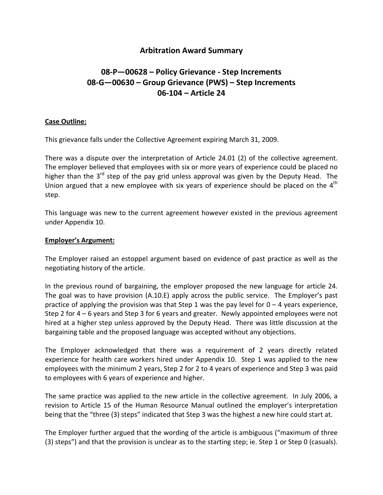## **Arbitration Award Summary**

# **08‐P—00628 – Policy Grievance ‐ Step Increments 08‐G—00630 – Group Grievance (PWS) – Step Increments 06‐104 – Article 24**

#### **Case Outline:**

This grievance falls under the Collective Agreement expiring March 31, 2009.

There was a dispute over the interpretation of Article 24.01 (2) of the collective agreement. The employer believed that employees with six or more years of experience could be placed no higher than the 3<sup>rd</sup> step of the pay grid unless approval was given by the Deputy Head. The Union argued that a new employee with six years of experience should be placed on the  $4<sup>th</sup>$ step.

This language was new to the current agreement however existed in the previous agreement under Appendix 10.

#### **Employer's Argument:**

The Employer raised an estoppel argument based on evidence of past practice as well as the negotiating history of the article.

In the previous round of bargaining, the employer proposed the new language for article 24. The goal was to have provision (A.10.E) apply across the public service. The Employer's past practice of applying the provision was that Step 1 was the pay level for  $0 - 4$  years experience, Step 2 for 4 – 6 years and Step 3 for 6 years and greater. Newly appointed employees were not hired at a higher step unless approved by the Deputy Head. There was little discussion at the bargaining table and the proposed language was accepted without any objections.

The Employer acknowledged that there was a requirement of 2 years directly related experience for health care workers hired under Appendix 10. Step 1 was applied to the new employees with the minimum 2 years, Step 2 for 2 to 4 years of experience and Step 3 was paid to employees with 6 years of experience and higher.

The same practice was applied to the new article in the collective agreement. In July 2006, a revision to Article 15 of the Human Resource Manual outlined the employer's interpretation being that the "three (3) steps" indicated that Step 3 was the highest a new hire could start at.

The Employer further argued that the wording of the article is ambiguous ("maximum of three (3) steps") and that the provision is unclear as to the starting step; ie. Step 1 or Step 0 (casuals).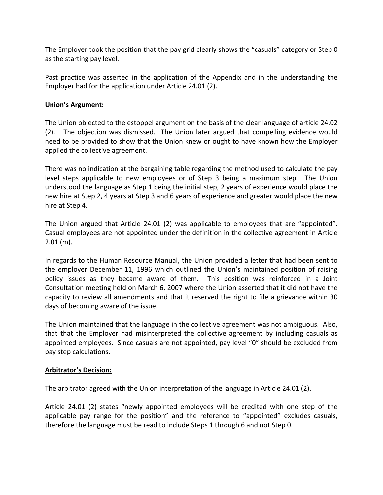The Employer took the position that the pay grid clearly shows the "casuals" category or Step 0 as the starting pay level.

Past practice was asserted in the application of the Appendix and in the understanding the Employer had for the application under Article 24.01 (2).

### **Union's Argument:**

The Union objected to the estoppel argument on the basis of the clear language of article 24.02 (2). The objection was dismissed. The Union later argued that compelling evidence would need to be provided to show that the Union knew or ought to have known how the Employer applied the collective agreement.

There was no indication at the bargaining table regarding the method used to calculate the pay level steps applicable to new employees or of Step 3 being a maximum step. The Union understood the language as Step 1 being the initial step, 2 years of experience would place the new hire at Step 2, 4 years at Step 3 and 6 years of experience and greater would place the new hire at Step 4.

The Union argued that Article 24.01 (2) was applicable to employees that are "appointed". Casual employees are not appointed under the definition in the collective agreement in Article 2.01 (m).

In regards to the Human Resource Manual, the Union provided a letter that had been sent to the employer December 11, 1996 which outlined the Union's maintained position of raising policy issues as they became aware of them. This position was reinforced in a Joint Consultation meeting held on March 6, 2007 where the Union asserted that it did not have the capacity to review all amendments and that it reserved the right to file a grievance within 30 days of becoming aware of the issue.

The Union maintained that the language in the collective agreement was not ambiguous. Also, that that the Employer had misinterpreted the collective agreement by including casuals as appointed employees. Since casuals are not appointed, pay level "0" should be excluded from pay step calculations.

#### **Arbitrator's Decision:**

The arbitrator agreed with the Union interpretation of the language in Article 24.01 (2).

Article 24.01 (2) states "newly appointed employees will be credited with one step of the applicable pay range for the position" and the reference to "appointed" excludes casuals, therefore the language must be read to include Steps 1 through 6 and not Step 0.